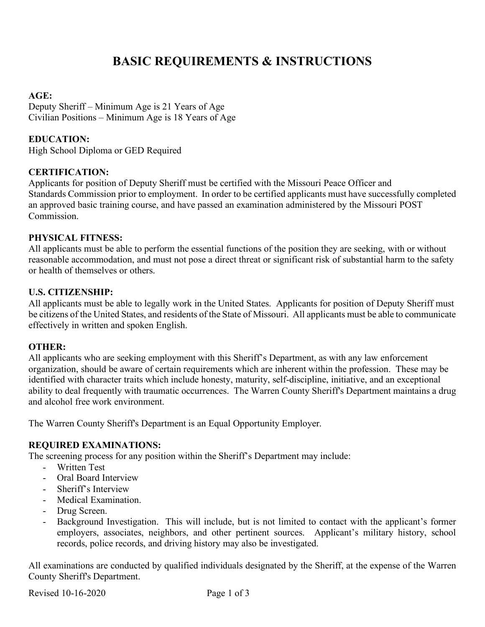# **BASIC REQUIREMENTS & INSTRUCTIONS**

### **AGE:**

Deputy Sheriff – Minimum Age is 21 Years of Age Civilian Positions – Minimum Age is 18 Years of Age

# **EDUCATION:**

High School Diploma or GED Required

### **CERTIFICATION:**

Applicants for position of Deputy Sheriff must be certified with the Missouri Peace Officer and Standards Commission prior to employment. In order to be certified applicants must have successfully completed an approved basic training course, and have passed an examination administered by the Missouri POST Commission.

### **PHYSICAL FITNESS:**

All applicants must be able to perform the essential functions of the position they are seeking, with or without reasonable accommodation, and must not pose a direct threat or significant risk of substantial harm to the safety or health of themselves or others.

#### **U.S. CITIZENSHIP:**

All applicants must be able to legally work in the United States. Applicants for position of Deputy Sheriff must be citizens of the United States, and residents of the State of Missouri. All applicants must be able to communicate effectively in written and spoken English.

#### **OTHER:**

All applicants who are seeking employment with this Sheriff's Department, as with any law enforcement organization, should be aware of certain requirements which are inherent within the profession. These may be identified with character traits which include honesty, maturity, self-discipline, initiative, and an exceptional ability to deal frequently with traumatic occurrences. The Warren County Sheriff's Department maintains a drug and alcohol free work environment.

The Warren County Sheriff's Department is an Equal Opportunity Employer.

### **REQUIRED EXAMINATIONS:**

The screening process for any position within the Sheriff's Department may include:

- Written Test
- Oral Board Interview
- Sheriff's Interview
- Medical Examination.
- Drug Screen.
- Background Investigation. This will include, but is not limited to contact with the applicant's former employers, associates, neighbors, and other pertinent sources. Applicant's military history, school records, police records, and driving history may also be investigated.

All examinations are conducted by qualified individuals designated by the Sheriff, at the expense of the Warren County Sheriff's Department.

Revised 10-16-2020 Page 1 of 3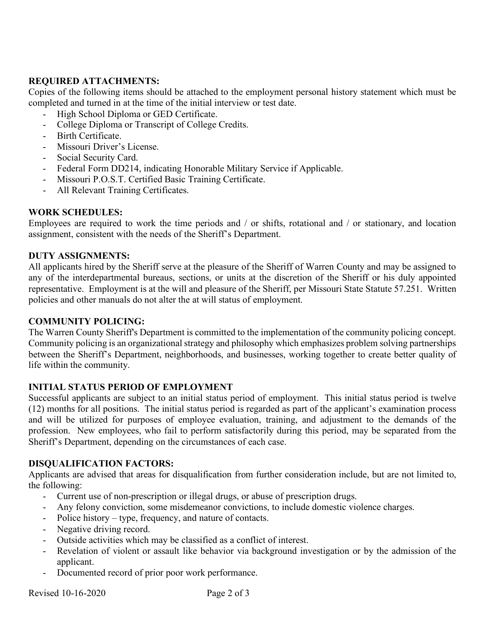# **REQUIRED ATTACHMENTS:**

Copies of the following items should be attached to the employment personal history statement which must be completed and turned in at the time of the initial interview or test date.

- High School Diploma or GED Certificate.
- College Diploma or Transcript of College Credits.
- Birth Certificate.
- Missouri Driver's License.
- Social Security Card.
- Federal Form DD214, indicating Honorable Military Service if Applicable.
- Missouri P.O.S.T. Certified Basic Training Certificate.
- All Relevant Training Certificates.

# **WORK SCHEDULES:**

Employees are required to work the time periods and / or shifts, rotational and / or stationary, and location assignment, consistent with the needs of the Sheriff's Department.

# **DUTY ASSIGNMENTS:**

All applicants hired by the Sheriff serve at the pleasure of the Sheriff of Warren County and may be assigned to any of the interdepartmental bureaus, sections, or units at the discretion of the Sheriff or his duly appointed representative. Employment is at the will and pleasure of the Sheriff, per Missouri State Statute 57.251. Written policies and other manuals do not alter the at will status of employment.

# **COMMUNITY POLICING:**

The Warren County Sheriff's Department is committed to the implementation of the community policing concept. Community policing is an organizational strategy and philosophy which emphasizes problem solving partnerships between the Sheriff's Department, neighborhoods, and businesses, working together to create better quality of life within the community.

# **INITIAL STATUS PERIOD OF EMPLOYMENT**

Successful applicants are subject to an initial status period of employment. This initial status period is twelve (12) months for all positions. The initial status period is regarded as part of the applicant's examination process and will be utilized for purposes of employee evaluation, training, and adjustment to the demands of the profession. New employees, who fail to perform satisfactorily during this period, may be separated from the Sheriff's Department, depending on the circumstances of each case.

# **DISQUALIFICATION FACTORS:**

Applicants are advised that areas for disqualification from further consideration include, but are not limited to, the following:

- Current use of non-prescription or illegal drugs, or abuse of prescription drugs.
- Any felony conviction, some misdemeanor convictions, to include domestic violence charges.
- Police history type, frequency, and nature of contacts.
- Negative driving record.
- Outside activities which may be classified as a conflict of interest.
- Revelation of violent or assault like behavior via background investigation or by the admission of the applicant.
- Documented record of prior poor work performance.